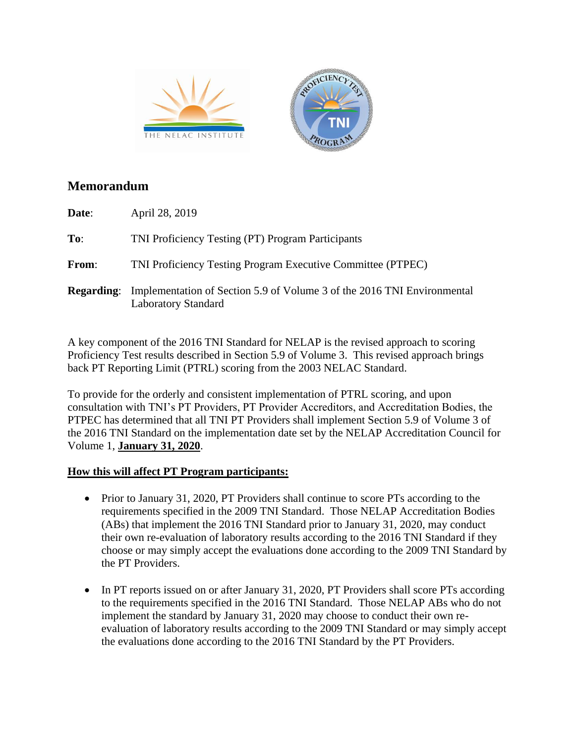

## **Memorandum**

| Date:        | April 28, 2019                                                                                                          |
|--------------|-------------------------------------------------------------------------------------------------------------------------|
| To:          | TNI Proficiency Testing (PT) Program Participants                                                                       |
| <b>From:</b> | TNI Proficiency Testing Program Executive Committee (PTPEC)                                                             |
|              | <b>Regarding:</b> Implementation of Section 5.9 of Volume 3 of the 2016 TNI Environmental<br><b>Laboratory Standard</b> |

A key component of the 2016 TNI Standard for NELAP is the revised approach to scoring Proficiency Test results described in Section 5.9 of Volume 3. This revised approach brings back PT Reporting Limit (PTRL) scoring from the 2003 NELAC Standard.

To provide for the orderly and consistent implementation of PTRL scoring, and upon consultation with TNI's PT Providers, PT Provider Accreditors, and Accreditation Bodies, the PTPEC has determined that all TNI PT Providers shall implement Section 5.9 of Volume 3 of the 2016 TNI Standard on the implementation date set by the NELAP Accreditation Council for Volume 1, **January 31, 2020**.

## **How this will affect PT Program participants:**

- Prior to January 31, 2020, PT Providers shall continue to score PTs according to the requirements specified in the 2009 TNI Standard. Those NELAP Accreditation Bodies (ABs) that implement the 2016 TNI Standard prior to January 31, 2020, may conduct their own re-evaluation of laboratory results according to the 2016 TNI Standard if they choose or may simply accept the evaluations done according to the 2009 TNI Standard by the PT Providers.
- In PT reports issued on or after January 31, 2020, PT Providers shall score PTs according to the requirements specified in the 2016 TNI Standard. Those NELAP ABs who do not implement the standard by January 31, 2020 may choose to conduct their own reevaluation of laboratory results according to the 2009 TNI Standard or may simply accept the evaluations done according to the 2016 TNI Standard by the PT Providers.